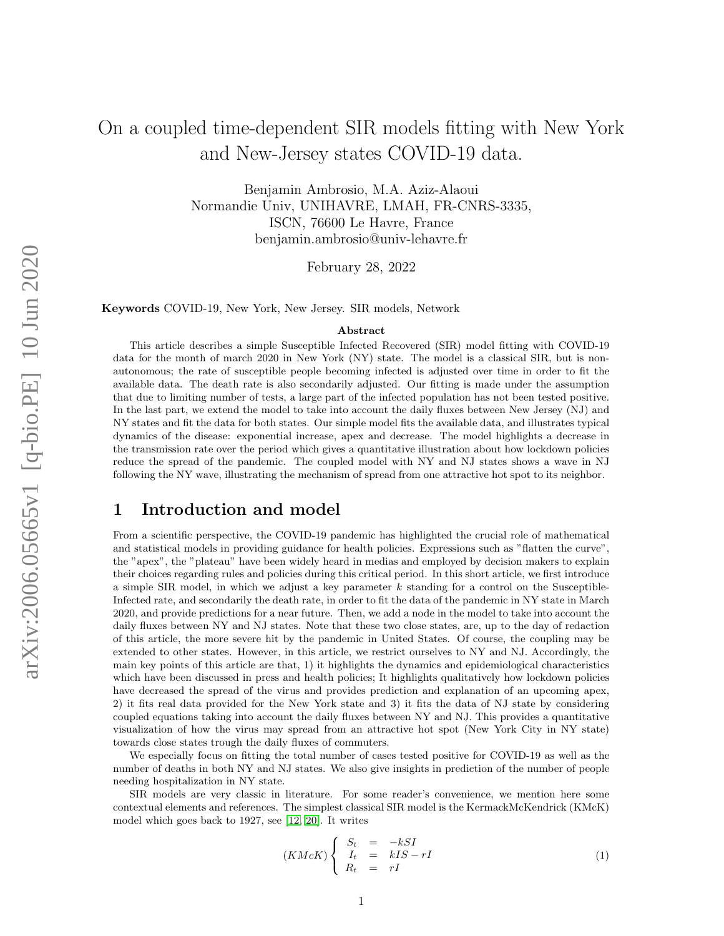# On a coupled time-dependent SIR models fitting with New York and New-Jersey states COVID-19 data.

Benjamin Ambrosio, M.A. Aziz-Alaoui Normandie Univ, UNIHAVRE, LMAH, FR-CNRS-3335, ISCN, 76600 Le Havre, France benjamin.ambrosio@univ-lehavre.fr

February 28, 2022

Keywords COVID-19, New York, New Jersey. SIR models, Network

#### Abstract

This article describes a simple Susceptible Infected Recovered (SIR) model fitting with COVID-19 data for the month of march 2020 in New York (NY) state. The model is a classical SIR, but is nonautonomous; the rate of susceptible people becoming infected is adjusted over time in order to fit the available data. The death rate is also secondarily adjusted. Our fitting is made under the assumption that due to limiting number of tests, a large part of the infected population has not been tested positive. In the last part, we extend the model to take into account the daily fluxes between New Jersey (NJ) and NY states and fit the data for both states. Our simple model fits the available data, and illustrates typical dynamics of the disease: exponential increase, apex and decrease. The model highlights a decrease in the transmission rate over the period which gives a quantitative illustration about how lockdown policies reduce the spread of the pandemic. The coupled model with NY and NJ states shows a wave in NJ following the NY wave, illustrating the mechanism of spread from one attractive hot spot to its neighbor.

# 1 Introduction and model

From a scientific perspective, the COVID-19 pandemic has highlighted the crucial role of mathematical and statistical models in providing guidance for health policies. Expressions such as "flatten the curve", the "apex", the "plateau" have been widely heard in medias and employed by decision makers to explain their choices regarding rules and policies during this critical period. In this short article, we first introduce a simple SIR model, in which we adjust a key parameter  $k$  standing for a control on the Susceptible-Infected rate, and secondarily the death rate, in order to fit the data of the pandemic in NY state in March 2020, and provide predictions for a near future. Then, we add a node in the model to take into account the daily fluxes between NY and NJ states. Note that these two close states, are, up to the day of redaction of this article, the more severe hit by the pandemic in United States. Of course, the coupling may be extended to other states. However, in this article, we restrict ourselves to NY and NJ. Accordingly, the main key points of this article are that, 1) it highlights the dynamics and epidemiological characteristics which have been discussed in press and health policies; It highlights qualitatively how lockdown policies have decreased the spread of the virus and provides prediction and explanation of an upcoming apex, 2) it fits real data provided for the New York state and 3) it fits the data of NJ state by considering coupled equations taking into account the daily fluxes between NY and NJ. This provides a quantitative visualization of how the virus may spread from an attractive hot spot (New York City in NY state) towards close states trough the daily fluxes of commuters.

We especially focus on fitting the total number of cases tested positive for COVID-19 as well as the number of deaths in both NY and NJ states. We also give insights in prediction of the number of people needing hospitalization in NY state.

SIR models are very classic in literature. For some reader's convenience, we mention here some contextual elements and references. The simplest classical SIR model is the KermackMcKendrick (KMcK) model which goes back to 1927, see [\[12,](#page-9-0) [20\]](#page-9-1). It writes

<span id="page-0-0"></span>
$$
(KMcK)\begin{cases}\nS_t = -kSI \\
I_t = kIS - rI \\
R_t = rI\n\end{cases}
$$
\n(1)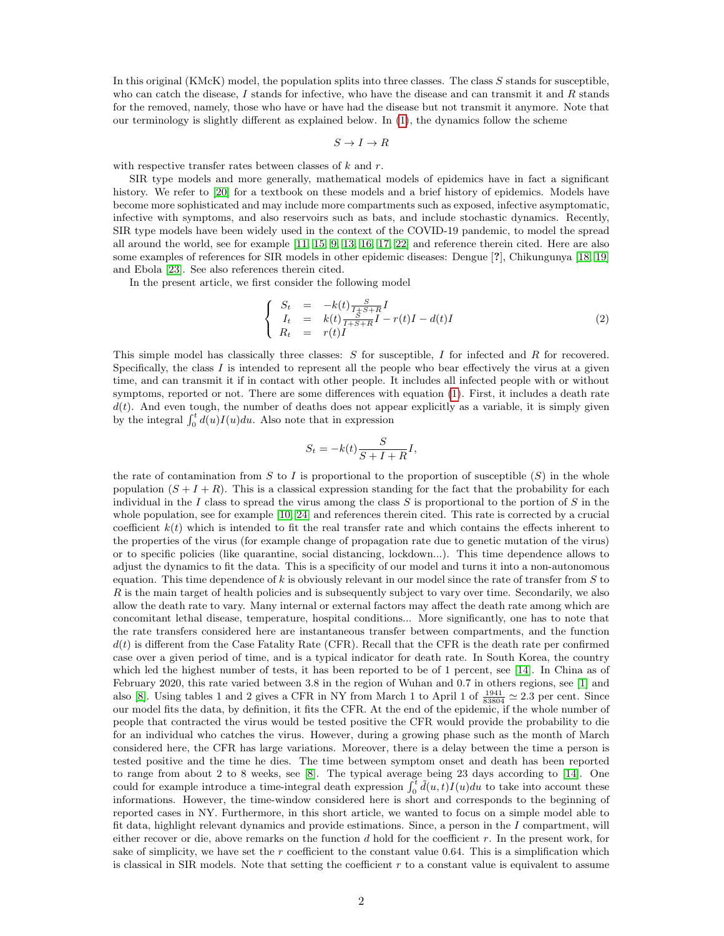In this original (KMcK) model, the population splits into three classes. The class S stands for susceptible, who can catch the disease, I stands for infective, who have the disease and can transmit it and R stands for the removed, namely, those who have or have had the disease but not transmit it anymore. Note that our terminology is slightly different as explained below. In [\(1\)](#page-0-0), the dynamics follow the scheme

$$
S\to I\to R
$$

with respective transfer rates between classes of  $k$  and  $r$ .

SIR type models and more generally, mathematical models of epidemics have in fact a significant history. We refer to [\[20\]](#page-9-1) for a textbook on these models and a brief history of epidemics. Models have become more sophisticated and may include more compartments such as exposed, infective asymptomatic, infective with symptoms, and also reservoirs such as bats, and include stochastic dynamics. Recently, SIR type models have been widely used in the context of the COVID-19 pandemic, to model the spread all around the world, see for example [\[11,](#page-9-2) [15,](#page-9-3) [9,](#page-8-0) [13,](#page-9-4) [16,](#page-9-5) [17,](#page-9-6) [22\]](#page-9-7) and reference therein cited. Here are also some examples of references for SIR models in other epidemic diseases: Dengue [?], Chikungunya [\[18,](#page-9-8) [19\]](#page-9-9) and Ebola [\[23\]](#page-9-10). See also references therein cited.

In the present article, we first consider the following model

<span id="page-1-0"></span>
$$
\begin{cases}\nS_t = -k(t) \frac{S}{I + S + R} I \\
I_t = k(t) \frac{S}{I + S + R} I - r(t)I - d(t)I \\
R_t = r(t)I\n\end{cases}
$$
\n(2)

This simple model has classically three classes:  $S$  for susceptible,  $I$  for infected and  $R$  for recovered. Specifically, the class  $I$  is intended to represent all the people who bear effectively the virus at a given time, and can transmit it if in contact with other people. It includes all infected people with or without symptoms, reported or not. There are some differences with equation [\(1\)](#page-0-0). First, it includes a death rate  $d(t)$ . And even tough, the number of deaths does not appear explicitly as a variable, it is simply given by the integral  $\int_0^t d(u)I(u)du$ . Also note that in expression

$$
S_t = -k(t) \frac{S}{S + I + R} I,
$$

the rate of contamination from S to I is proportional to the proportion of susceptible  $(S)$  in the whole population  $(S + I + R)$ . This is a classical expression standing for the fact that the probability for each individual in the I class to spread the virus among the class S is proportional to the portion of S in the whole population, see for example [\[10,](#page-8-1) [24\]](#page-9-11) and references therein cited. This rate is corrected by a crucial coefficient  $k(t)$  which is intended to fit the real transfer rate and which contains the effects inherent to the properties of the virus (for example change of propagation rate due to genetic mutation of the virus) or to specific policies (like quarantine, social distancing, lockdown...). This time dependence allows to adjust the dynamics to fit the data. This is a specificity of our model and turns it into a non-autonomous equation. This time dependence of k is obviously relevant in our model since the rate of transfer from  $S$  to  $R$  is the main target of health policies and is subsequently subject to vary over time. Secondarily, we also allow the death rate to vary. Many internal or external factors may affect the death rate among which are concomitant lethal disease, temperature, hospital conditions... More significantly, one has to note that the rate transfers considered here are instantaneous transfer between compartments, and the function  $d(t)$  is different from the Case Fatality Rate (CFR). Recall that the CFR is the death rate per confirmed case over a given period of time, and is a typical indicator for death rate. In South Korea, the country which led the highest number of tests, it has been reported to be of 1 percent, see [\[14\]](#page-9-12). In China as of February 2020, this rate varied between 3.8 in the region of Wuhan and 0.7 in others regions, see [\[1\]](#page-8-2) and also [\[8\]](#page-8-3). Using tables 1 and 2 gives a CFR in NY from March 1 to April 1 of  $\frac{1941}{83804} \approx 2.3$  per cent. Since our model fits the data, by definition, it fits the CFR. At the end of the epidemic, if the whole number of people that contracted the virus would be tested positive the CFR would provide the probability to die for an individual who catches the virus. However, during a growing phase such as the month of March considered here, the CFR has large variations. Moreover, there is a delay between the time a person is tested positive and the time he dies. The time between symptom onset and death has been reported to range from about 2 to 8 weeks, see [\[8\]](#page-8-3). The typical average being 23 days according to [\[14\]](#page-9-12). One could for example introduce a time-integral death expression  $\int_0^t \tilde{d}(u,t)I(u)du$  to take into account these informations. However, the time-window considered here is short and corresponds to the beginning of reported cases in NY. Furthermore, in this short article, we wanted to focus on a simple model able to fit data, highlight relevant dynamics and provide estimations. Since, a person in the  $I$  compartment, will either recover or die, above remarks on the function  $d$  hold for the coefficient  $r$ . In the present work, for sake of simplicity, we have set the  $r$  coefficient to the constant value 0.64. This is a simplification which is classical in SIR models. Note that setting the coefficient  $r$  to a constant value is equivalent to assume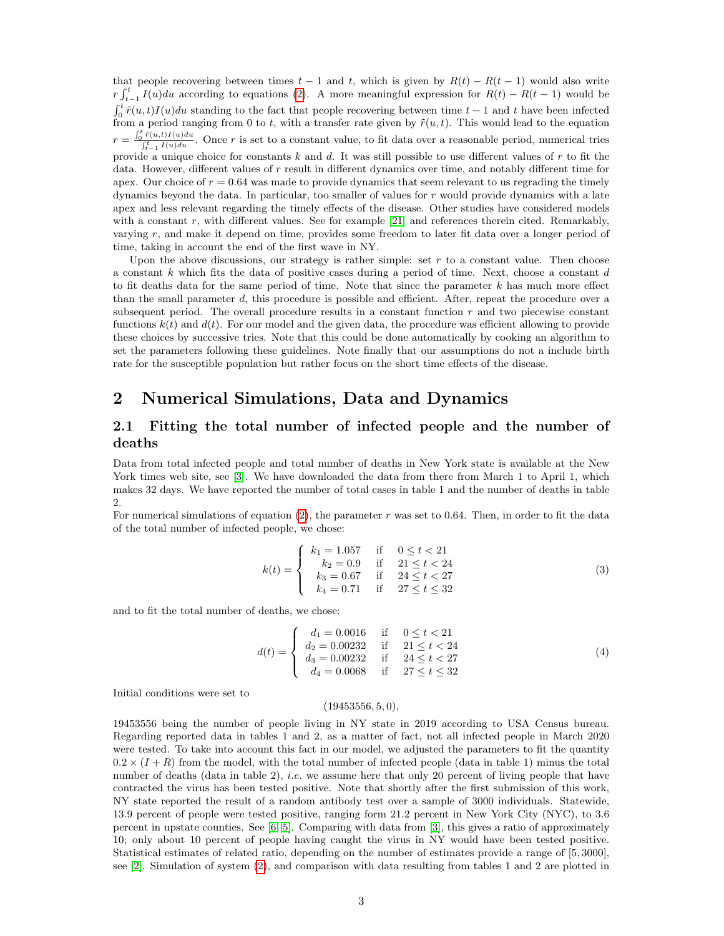that people recovering between times  $t - 1$  and t, which is given by  $R(t) - R(t - 1)$  would also write  $r \int_{t-1}^{t} I(u) du$  according to equations [\(2\)](#page-1-0). A more meaningful expression for  $R(t) - R(t-1)$  would be  $\int_0^t \tilde{r}(u, t)I(u)du$  standing to the fact that people recovering between time  $t - 1$  and t have been infected from a period ranging from 0 to t, with a transfer rate given by  $\tilde{r}(u, t)$ . This would lead to the equation  $r = \frac{\int_0^t \tilde{r}(u,t)I(u)du}{\int_{t-1}^t I(u)du}$ . Once r is set to a constant value, to fit data over a reasonable period, numerical tries provide a unique choice for constants k and d. It was still possible to use different values of r to fit the data. However, different values of r result in different dynamics over time, and notably different time for apex. Our choice of  $r = 0.64$  was made to provide dynamics that seem relevant to us regrading the timely dynamics beyond the data. In particular, too smaller of values for r would provide dynamics with a late apex and less relevant regarding the timely effects of the disease. Other studies have considered models with a constant  $r$ , with different values. See for example [\[21\]](#page-9-13) and references therein cited. Remarkably, varying r, and make it depend on time, provides some freedom to later fit data over a longer period of time, taking in account the end of the first wave in NY.

Upon the above discussions, our strategy is rather simple: set  $r$  to a constant value. Then choose a constant  $k$  which fits the data of positive cases during a period of time. Next, choose a constant  $d$ to fit deaths data for the same period of time. Note that since the parameter  $k$  has much more effect than the small parameter d, this procedure is possible and efficient. After, repeat the procedure over a subsequent period. The overall procedure results in a constant function  $r$  and two piecewise constant functions  $k(t)$  and  $d(t)$ . For our model and the given data, the procedure was efficient allowing to provide these choices by successive tries. Note that this could be done automatically by cooking an algorithm to set the parameters following these guidelines. Note finally that our assumptions do not a include birth rate for the susceptible population but rather focus on the short time effects of the disease.

# 2 Numerical Simulations, Data and Dynamics

#### 2.1 Fitting the total number of infected people and the number of deaths

Data from total infected people and total number of deaths in New York state is available at the New York times web site, see [\[3\]](#page-8-4). We have downloaded the data from there from March 1 to April 1, which makes 32 days. We have reported the number of total cases in table 1 and the number of deaths in table 2.

For numerical simulations of equation  $(2)$ , the parameter r was set to 0.64. Then, in order to fit the data of the total number of infected people, we chose:

<span id="page-2-0"></span>
$$
k(t) = \begin{cases} k_1 = 1.057 & \text{if } 0 \le t < 21 \\ k_2 = 0.9 & \text{if } 21 \le t < 24 \\ k_3 = 0.67 & \text{if } 24 \le t < 27 \\ k_4 = 0.71 & \text{if } 27 \le t \le 32 \end{cases} \tag{3}
$$

and to fit the total number of deaths, we chose:

$$
d(t) = \begin{cases} d_1 = 0.0016 & \text{if } 0 \le t < 21 \\ d_2 = 0.00232 & \text{if } 21 \le t < 24 \\ d_3 = 0.00232 & \text{if } 24 \le t < 27 \\ d_4 = 0.0068 & \text{if } 27 \le t \le 32 \end{cases}
$$
(4)

Initial conditions were set to

#### $(19453556, 5, 0),$

19453556 being the number of people living in NY state in 2019 according to USA Census bureau. Regarding reported data in tables 1 and 2, as a matter of fact, not all infected people in March 2020 were tested. To take into account this fact in our model, we adjusted the parameters to fit the quantity  $0.2 \times (I + R)$  from the model, with the total number of infected people (data in table 1) minus the total number of deaths (data in table 2), *i.e.* we assume here that only 20 percent of living people that have contracted the virus has been tested positive. Note that shortly after the first submission of this work, NY state reported the result of a random antibody test over a sample of 3000 individuals. Statewide, 13.9 percent of people were tested positive, ranging form 21.2 percent in New York City (NYC), to 3.6 percent in upstate counties. See  $[6, 5]$  $[6, 5]$ . Comparing with data from  $[3]$ , this gives a ratio of approximately 10; only about 10 percent of people having caught the virus in NY would have been tested positive. Statistical estimates of related ratio, depending on the number of estimates provide a range of [5, 3000], see [\[2\]](#page-8-7). Simulation of system [\(2\)](#page-1-0), and comparison with data resulting from tables 1 and 2 are plotted in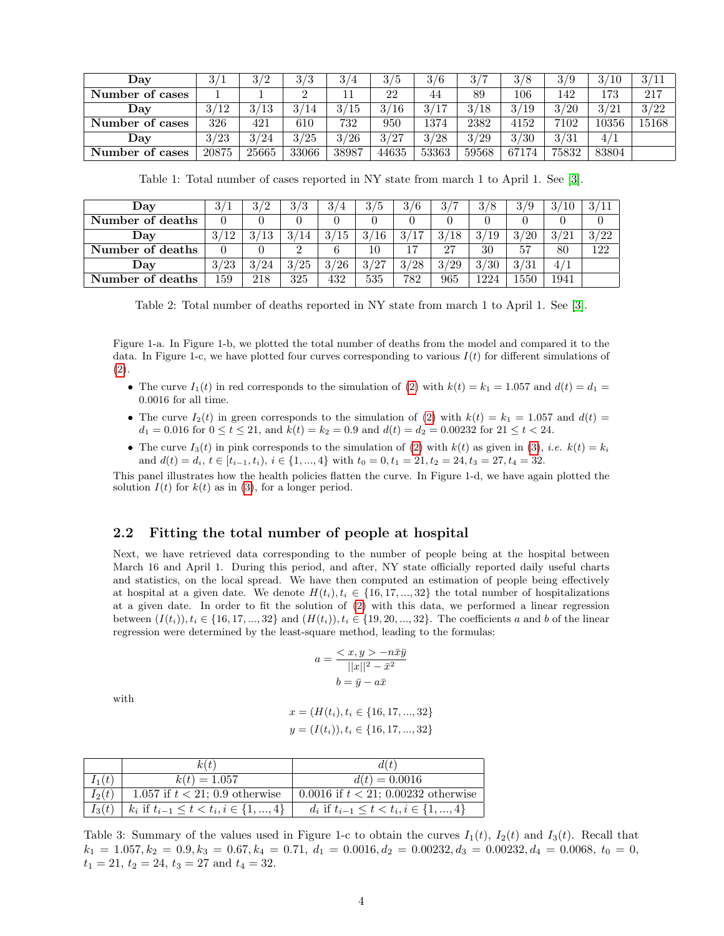| Day             | 3/    | 3/2   | 2/2   | 3/4   | 3/5       | 3/6   | 2/7   | 3/8   | 3/9   | 3/10  | 3/11  |
|-----------------|-------|-------|-------|-------|-----------|-------|-------|-------|-------|-------|-------|
| Number of cases |       |       |       |       | 22        | 44    | 89    | 106   | 142   | 173   | 217   |
| Day             | 3/12  | 3/13  | 3/14  | 3/15  | 3/<br>΄16 | 2/17  | 3/18  | 3/19  | 3/20  | 3/21  | 3/22  |
| Number of cases | 326   | 421   | 610   | 732   | 950       | 1374  | 2382  | 4152  | 7102  | 10356 | 15168 |
| ${\bf Dav}$     | 3/23  | 3/24  | 3/25  | 3/26  | 3/27      | 3/28  | 3/29  | 3/30  | 3/31  |       |       |
| Number of cases | 20875 | 25665 | 33066 | 38987 | 44635     | 53363 | 59568 | 67174 | 75832 | 83804 |       |

Table 1: Total number of cases reported in NY state from march 1 to April 1. See [\[3\]](#page-8-4).

| Day              | 3/1  | 3/2  | 3/3  | 3/4       | 3/5                 | 3/6  | $\mathbf{Q}$ ,<br>$\overline{ }$<br>◡ | 3/8  | 3/9  | 3/             | 3/11 |
|------------------|------|------|------|-----------|---------------------|------|---------------------------------------|------|------|----------------|------|
| Number of deaths |      |      |      |           |                     |      |                                       |      |      |                |      |
| Dav              | 3/12 | 3/13 | 3/14 | 3.<br>Ί5  | $^{\prime}16$<br>3/ | 3/17 | 3/<br>18                              | 3/19 | 3/20 | 2/91           | 3/22 |
| Number of deaths |      |      |      |           | 10                  | 17   | 27                                    | 30   | 57   | 80             | 122  |
| Day              | 3/23 | 3/24 | 3/25 | 3.<br>/26 | 3/27                | 3/28 | 3/29                                  | 3/30 | 3/31 | 4 <sub>1</sub> |      |
| Number of deaths | 159  | 218  | 325  | 432       | 535                 | 782  | 965                                   | 1224 | 1550 | 1941           |      |

Table 2: Total number of deaths reported in NY state from march 1 to April 1. See [\[3\]](#page-8-4).

Figure 1-a. In Figure 1-b, we plotted the total number of deaths from the model and compared it to the data. In Figure 1-c, we have plotted four curves corresponding to various  $I(t)$  for different simulations of [\(2\)](#page-1-0).

- The curve  $I_1(t)$  in red corresponds to the simulation of [\(2\)](#page-1-0) with  $k(t) = k_1 = 1.057$  and  $d(t) = d_1 =$ 0.0016 for all time.
- The curve  $I_2(t)$  in green corresponds to the simulation of [\(2\)](#page-1-0) with  $k(t) = k_1 = 1.057$  and  $d(t) =$  $d_1 = 0.016$  for  $0 \le t \le 21$ , and  $k(t) = k_2 = 0.9$  and  $d(t) = d_2 = 0.00232$  for  $21 \le t < 24$ .
- The curve  $I_3(t)$  in pink corresponds to the simulation of [\(2\)](#page-1-0) with  $k(t)$  as given in [\(3\)](#page-2-0), *i.e.*  $k(t) = k_i$ and  $d(t) = d_i, t \in [t_{i-1}, t_i), i \in \{1, ..., 4\}$  with  $t_0 = 0, t_1 = 21, t_2 = 24, t_3 = 27, t_4 = 32$ .

This panel illustrates how the health policies flatten the curve. In Figure 1-d, we have again plotted the solution  $I(t)$  for  $k(t)$  as in [\(3\)](#page-2-0), for a longer period.

#### 2.2 Fitting the total number of people at hospital

Next, we have retrieved data corresponding to the number of people being at the hospital between March 16 and April 1. During this period, and after, NY state officially reported daily useful charts and statistics, on the local spread. We have then computed an estimation of people being effectively at hospital at a given date. We denote  $H(t_i), t_i \in \{16, 17, ..., 32\}$  the total number of hospitalizations at a given date. In order to fit the solution of [\(2\)](#page-1-0) with this data, we performed a linear regression between  $(I(t_i)), t_i \in \{16, 17, ..., 32\}$  and  $(H(t_i)), t_i \in \{19, 20, ..., 32\}$ . The coefficients a and b of the linear regression were determined by the least-square method, leading to the formulas:

$$
a = \frac{\langle x, y \rangle - n\bar{x}\bar{y}}{||x||^2 - \bar{x}^2}
$$

$$
b = \bar{y} - a\bar{x}
$$

with

$$
x = (H(t_i), t_i \in \{16, 17, ..., 32\}
$$

$$
y = (I(t_i)), t_i \in \{16, 17, ..., 32\}
$$

|          | k(t)                                              | d(t)                                              |
|----------|---------------------------------------------------|---------------------------------------------------|
| $I_1(t)$ | $k(t) = 1.057$                                    | $d(t) = 0.0016$                                   |
| $I_2(t)$ | 1.057 if $t < 21$ ; 0.9 otherwise                 | 0.0016 if $t < 21$ ; 0.00232 otherwise            |
| $I_3(t)$ | $k_i$ if $t_{i-1} \leq t < t_i, i \in \{1, , 4\}$ | $d_i$ if $t_{i-1} \leq t < t_i, i \in \{1, , 4\}$ |

Table 3: Summary of the values used in Figure 1-c to obtain the curves  $I_1(t)$ ,  $I_2(t)$  and  $I_3(t)$ . Recall that  $k_1 = 1.057, k_2 = 0.9, k_3 = 0.67, k_4 = 0.71, d_1 = 0.0016, d_2 = 0.00232, d_3 = 0.00232, d_4 = 0.0068, t_0 = 0,$  $t_1 = 21$ ,  $t_2 = 24$ ,  $t_3 = 27$  and  $t_4 = 32$ .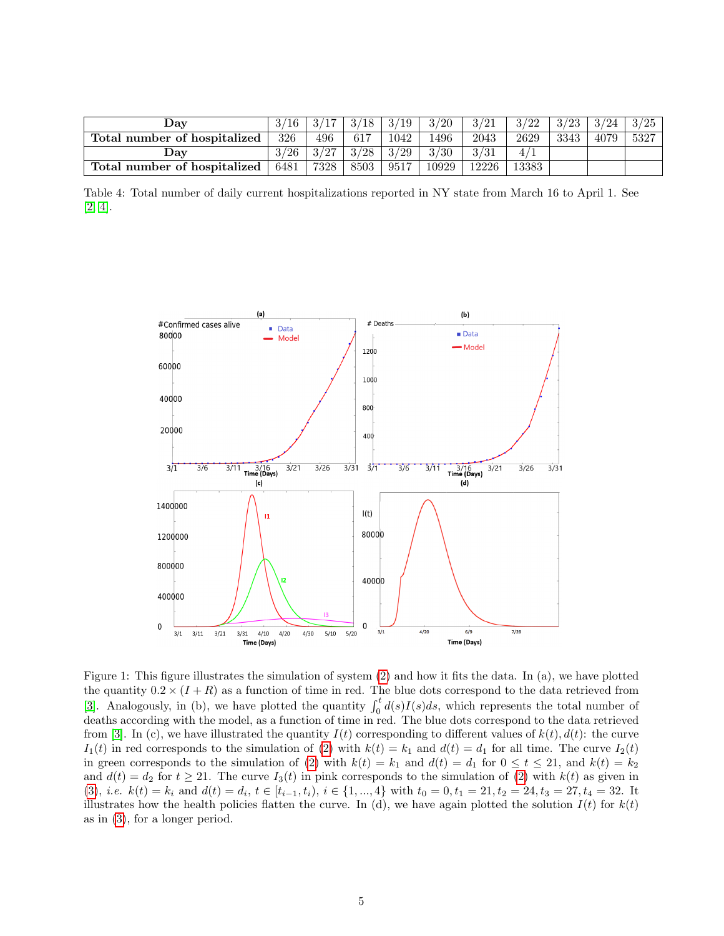| $\boldsymbol{\mathrm{v}}$ av | 16   |      | 3/18 | 3/19 | 3/20  | 3/21  | 3/22  | 3/23 | 3/24 | 3/25 |
|------------------------------|------|------|------|------|-------|-------|-------|------|------|------|
| Total number of hospitalized | 326  | 496  | 617  | 1042 | :496  | 2043  | 2629  | 3343 | 4079 | 5327 |
| Jav                          | 3/26 | 3/27 | 3/28 | 3/29 | 3/30  | 3/31  |       |      |      |      |
| Total number of hospitalized | 6481 | 7328 | 8503 | 9517 | 10929 | 12226 | 13383 |      |      |      |

Table 4: Total number of daily current hospitalizations reported in NY state from March 16 to April 1. See [\[2,](#page-8-7) [4\]](#page-8-8).



Figure 1: This figure illustrates the simulation of system [\(2\)](#page-1-0) and how it fits the data. In (a), we have plotted the quantity  $0.2 \times (I + R)$  as a function of time in red. The blue dots correspond to the data retrieved from [\[3\]](#page-8-4). Analogously, in (b), we have plotted the quantity  $\int_0^t d(s)I(s)ds$ , which represents the total number of deaths according with the model, as a function of time in red. The blue dots correspond to the data retrieved from [\[3\]](#page-8-4). In (c), we have illustrated the quantity  $I(t)$  corresponding to different values of  $k(t)$ ,  $d(t)$ : the curve  $I_1(t)$  in red corresponds to the simulation of [\(2\)](#page-1-0) with  $k(t) = k_1$  and  $d(t) = d_1$  for all time. The curve  $I_2(t)$ in green corresponds to the simulation of [\(2\)](#page-1-0) with  $k(t) = k_1$  and  $d(t) = d_1$  for  $0 \le t \le 21$ , and  $k(t) = k_2$ and  $d(t) = d_2$  for  $t \ge 21$ . The curve  $I_3(t)$  in pink corresponds to the simulation of [\(2\)](#page-1-0) with  $k(t)$  as given in [\(3\)](#page-2-0), *i.e.*  $k(t) = k_i$  and  $d(t) = d_i$ ,  $t \in [t_{i-1}, t_i)$ ,  $i \in \{1, ..., 4\}$  with  $t_0 = 0, t_1 = 21, t_2 = 24, t_3 = 27, t_4 = 32$ . It illustrates how the health policies flatten the curve. In (d), we have again plotted the solution  $I(t)$  for  $k(t)$ as in [\(3\)](#page-2-0), for a longer period.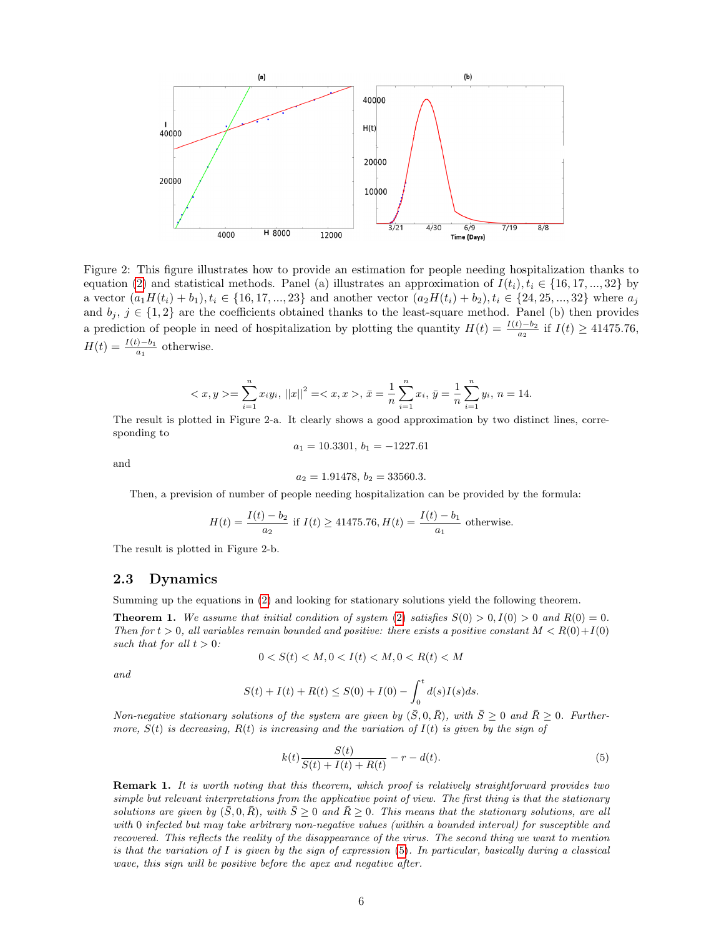

Figure 2: This figure illustrates how to provide an estimation for people needing hospitalization thanks to equation [\(2\)](#page-1-0) and statistical methods. Panel (a) illustrates an approximation of  $I(t_i), t_i \in \{16, 17, ..., 32\}$  by a vector  $(a_1H(t_i) + b_1), t_i \in \{16, 17, ..., 23\}$  and another vector  $(a_2H(t_i) + b_2), t_i \in \{24, 25, ..., 32\}$  where  $a_i$ and  $b_j, j \in \{1,2\}$  are the coefficients obtained thanks to the least-square method. Panel (b) then provides a prediction of people in need of hospitalization by plotting the quantity  $H(t) = \frac{I(t)-b_2}{a_2}$  if  $I(t) \ge 41475.76$ ,  $H(t) = \frac{I(t)-b_1}{a_1}$  otherwise.

$$
\langle x, y \rangle = \sum_{i=1}^{n} x_i y_i, ||x||^2 = \langle x, x \rangle, \, \bar{x} = \frac{1}{n} \sum_{i=1}^{n} x_i, \, \bar{y} = \frac{1}{n} \sum_{i=1}^{n} y_i, \, n = 14.
$$

The result is plotted in Figure 2-a. It clearly shows a good approximation by two distinct lines, corresponding to

$$
a_1 = 10.3301, \, b_1 = -1227.61
$$

and

$$
a_2 = 1.91478, \, b_2 = 33560.3.
$$

Then, a prevision of number of people needing hospitalization can be provided by the formula:

$$
H(t) = \frac{I(t) - b_2}{a_2}
$$
 if  $I(t) \ge 41475.76$ ,  $H(t) = \frac{I(t) - b_1}{a_1}$  otherwise.

The result is plotted in Figure 2-b.

#### 2.3 Dynamics

Summing up the equations in [\(2\)](#page-1-0) and looking for stationary solutions yield the following theorem.

**Theorem 1.** We assume that initial condition of system [\(2\)](#page-1-0) satisfies  $S(0) > 0, I(0) > 0$  and  $R(0) = 0$ . Then for  $t > 0$ , all variables remain bounded and positive: there exists a positive constant  $M < R(0) + I(0)$ such that for all  $t > 0$ :

$$
0 < S(t) < M, 0 < I(t) < M, 0 < R(t) < M
$$

and

$$
S(t) + I(t) + R(t) \leq S(0) + I(0) - \int_0^t d(s)I(s)ds.
$$

Non-negative stationary solutions of the system are given by  $(\bar{S}, 0, \bar{R})$ , with  $\bar{S} \geq 0$  and  $\bar{R} \geq 0$ . Furthermore,  $S(t)$  is decreasing,  $R(t)$  is increasing and the variation of  $I(t)$  is given by the sign of

<span id="page-5-0"></span>
$$
k(t)\frac{S(t)}{S(t) + I(t) + R(t)} - r - d(t).
$$
\n(5)

**Remark 1.** It is worth noting that this theorem, which proof is relatively straightforward provides two simple but relevant interpretations from the applicative point of view. The first thing is that the stationary solutions are given by  $(\bar{S}, 0, \bar{R})$ , with  $\bar{S} \geq 0$  and  $\bar{R} \geq 0$ . This means that the stationary solutions, are all with 0 infected but may take arbitrary non-negative values (within a bounded interval) for susceptible and recovered. This reflects the reality of the disappearance of the virus. The second thing we want to mention is that the variation of I is given by the sign of expression [\(5\)](#page-5-0). In particular, basically during a classical wave, this sign will be positive before the apex and negative after.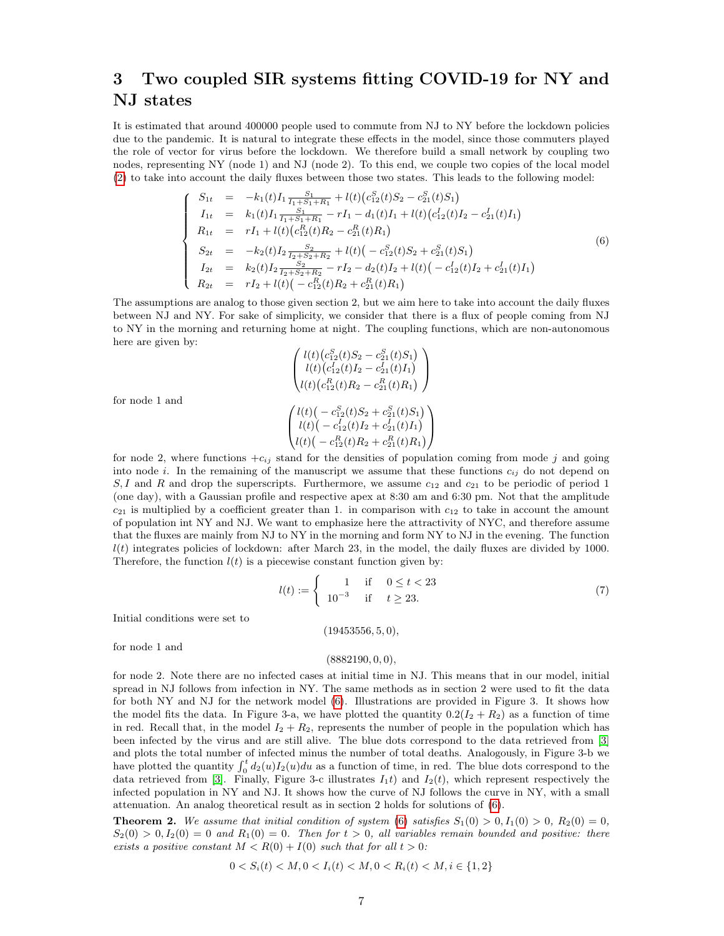# 3 Two coupled SIR systems fitting COVID-19 for NY and NJ states

It is estimated that around 400000 people used to commute from NJ to NY before the lockdown policies due to the pandemic. It is natural to integrate these effects in the model, since those commuters played the role of vector for virus before the lockdown. We therefore build a small network by coupling two nodes, representing NY (node 1) and NJ (node 2). To this end, we couple two copies of the local model [\(2\)](#page-1-0) to take into account the daily fluxes between those two states. This leads to the following model:

<span id="page-6-0"></span>
$$
\begin{cases}\nS_{1t} = -k_1(t)I_1 \frac{S_1}{I_1+S_1+R_1} + l(t)(c_{12}^S(t)S_2 - c_{21}^S(t)S_1) \\
I_{1t} = k_1(t)I_1 \frac{S_1}{I_1+S_1+R_1} - rI_1 - d_1(t)I_1 + l(t)(c_{12}^I(t)I_2 - c_{21}^I(t)I_1) \\
R_{1t} = rI_1 + l(t)(c_{12}^R(t)R_2 - c_{21}^R(t)R_1) \\
S_{2t} = -k_2(t)I_2 \frac{S_2}{I_2+S_2+R_2} + l(t)(-c_{12}^S(t)S_2 + c_{21}^S(t)S_1) \\
I_{2t} = k_2(t)I_2 \frac{S_2}{I_2+S_2+R_2} - rI_2 - d_2(t)I_2 + l(t)(-c_{12}^I(t)I_2 + c_{21}^I(t)I_1) \\
R_{2t} = rI_2 + l(t)(-c_{12}^R(t)R_2 + c_{21}^R(t)R_1)\n\end{cases} (6)
$$

The assumptions are analog to those given section 2, but we aim here to take into account the daily fluxes between NJ and NY. For sake of simplicity, we consider that there is a flux of people coming from NJ to NY in the morning and returning home at night. The coupling functions, which are non-autonomous here are given by:

$$
\begin{pmatrix} l(t)\big(c_{12}^S(t)S_2-c_{21}^S(t)S_1\big)\\ l(t)\big(c_{12}^I(t)I_2-c_{21}^I(t)I_1\big)\\ l(t)\big(c_{12}^R(t)R_2-c_{21}^R(t)R_1\big) \end{pmatrix}\\
$$

$$
\begin{pmatrix} l(t)\big(-c_{12}^S(t)S_2+c_{21}^S(t)S_1\big)\\ l(t)\big(-c_{12}^I(t)I_2+c_{21}^I(t)I_1\big)\\ l(t)\big(-c_{12}^R(t)R_2+c_{21}^R(t)R_1\big) \end{pmatrix}
$$

for node 1 and

for node 2, where functions  $+c_{ij}$  stand for the densities of population coming from mode j and going into node i. In the remaining of the manuscript we assume that these functions  $c_{ij}$  do not depend on S, I and R and drop the superscripts. Furthermore, we assume  $c_{12}$  and  $c_{21}$  to be periodic of period 1 (one day), with a Gaussian profile and respective apex at 8:30 am and 6:30 pm. Not that the amplitude  $c_{21}$  is multiplied by a coefficient greater than 1. in comparison with  $c_{12}$  to take in account the amount of population int NY and NJ. We want to emphasize here the attractivity of NYC, and therefore assume that the fluxes are mainly from NJ to NY in the morning and form NY to NJ in the evening. The function  $l(t)$  integrates policies of lockdown: after March 23, in the model, the daily fluxes are divided by 1000. Therefore, the function  $l(t)$  is a piecewise constant function given by:

$$
l(t) := \begin{cases} 1 & \text{if } 0 \le t < 23 \\ 10^{-3} & \text{if } t \ge 23. \end{cases}
$$
 (7)

Initial conditions were set to

 $(19453556, 5, 0)$ 

for node 1 and

#### $(8882190, 0, 0)$ ,

for node 2. Note there are no infected cases at initial time in NJ. This means that in our model, initial spread in NJ follows from infection in NY. The same methods as in section 2 were used to fit the data for both NY and NJ for the network model [\(6\)](#page-6-0). Illustrations are provided in Figure 3. It shows how the model fits the data. In Figure 3-a, we have plotted the quantity  $0.2(I_2 + R_2)$  as a function of time in red. Recall that, in the model  $I_2 + R_2$ , represents the number of people in the population which has been infected by the virus and are still alive. The blue dots correspond to the data retrieved from [\[3\]](#page-8-4) and plots the total number of infected minus the number of total deaths. Analogously, in Figure 3-b we have plotted the quantity  $\int_0^t d_2(u)I_2(u)du$  as a function of time, in red. The blue dots correspond to the data retrieved from [\[3\]](#page-8-4). Finally, Figure 3-c illustrates  $I_1t$ ) and  $I_2(t)$ , which represent respectively the infected population in NY and NJ. It shows how the curve of NJ follows the curve in NY, with a small attenuation. An analog theoretical result as in section 2 holds for solutions of [\(6\)](#page-6-0).

**Theorem 2.** We assume that initial condition of system [\(6\)](#page-6-0) satisfies  $S_1(0) > 0, I_1(0) > 0, R_2(0) = 0$ ,  $S_2(0) > 0, I_2(0) = 0$  and  $R_1(0) = 0$ . Then for  $t > 0$ , all variables remain bounded and positive: there exists a positive constant  $M < R(0) + I(0)$  such that for all  $t > 0$ :

$$
0 < S_i(t) < M, 0 < I_i(t) < M, 0 < R_i(t) < M, i \in \{1, 2\}
$$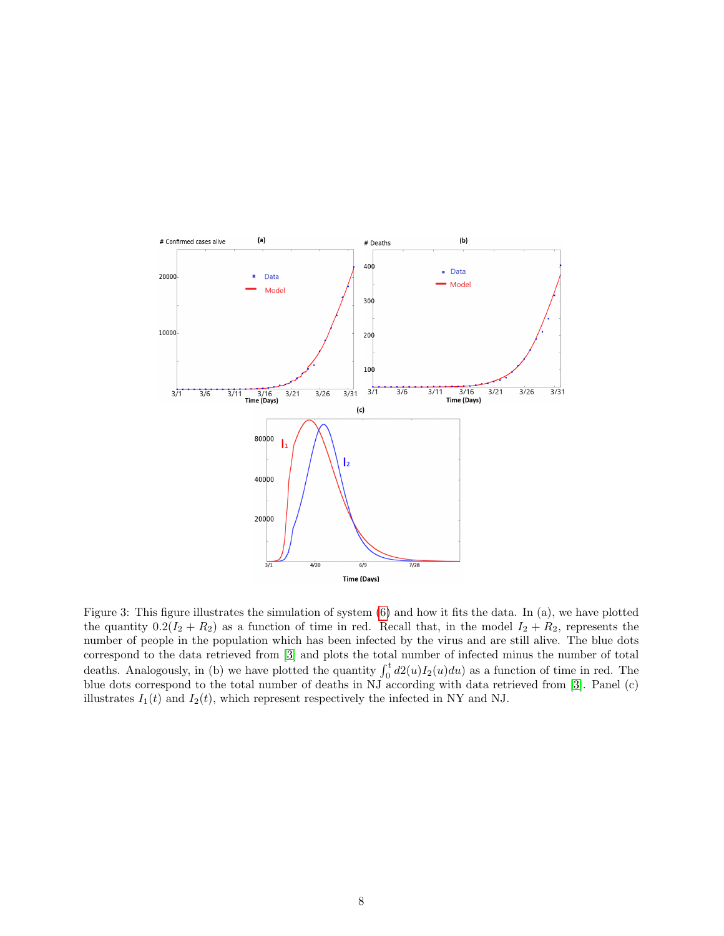

Figure 3: This figure illustrates the simulation of system [\(6\)](#page-6-0) and how it fits the data. In (a), we have plotted the quantity  $0.2(I_2 + R_2)$  as a function of time in red. Recall that, in the model  $I_2 + R_2$ , represents the number of people in the population which has been infected by the virus and are still alive. The blue dots correspond to the data retrieved from [\[3\]](#page-8-4) and plots the total number of infected minus the number of total deaths. Analogously, in (b) we have plotted the quantity  $\int_0^t d2(u)I_2(u)du$  as a function of time in red. The blue dots correspond to the total number of deaths in NJ according with data retrieved from [\[3\]](#page-8-4). Panel (c) illustrates  $I_1(t)$  and  $I_2(t)$ , which represent respectively the infected in NY and NJ.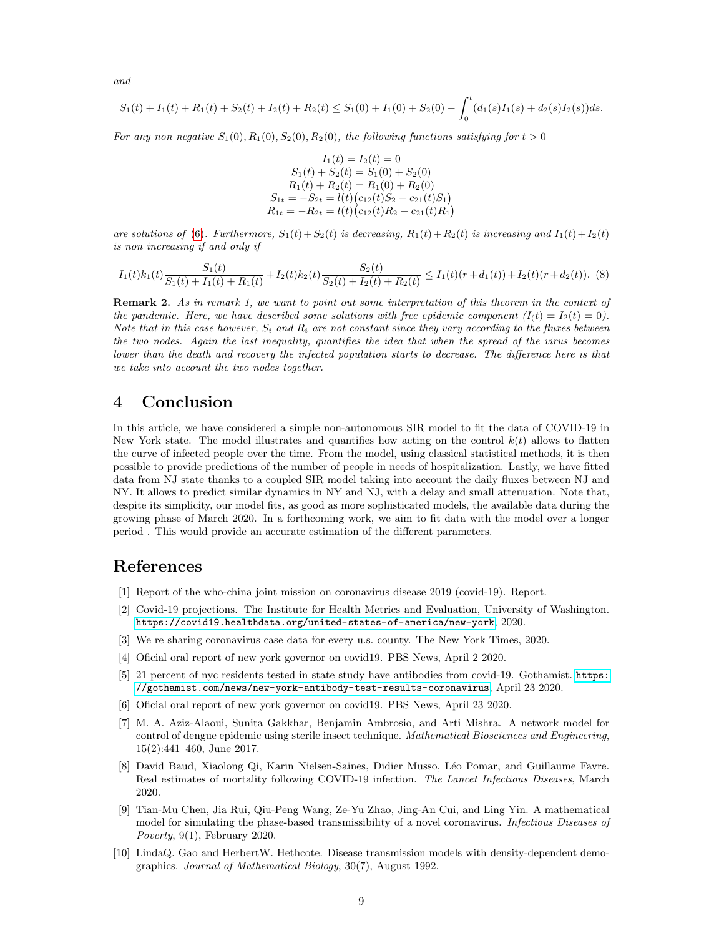and

$$
S_1(t) + I_1(t) + R_1(t) + S_2(t) + I_2(t) + R_2(t) \leq S_1(0) + I_1(0) + S_2(0) - \int_0^t (d_1(s)I_1(s) + d_2(s)I_2(s))ds.
$$

For any non negative  $S_1(0), R_1(0), S_2(0), R_2(0)$ , the following functions satisfying for  $t > 0$ 

$$
I_1(t) = I_2(t) = 0
$$
  
\n
$$
S_1(t) + S_2(t) = S_1(0) + S_2(0)
$$
  
\n
$$
R_1(t) + R_2(t) = R_1(0) + R_2(0)
$$
  
\n
$$
S_{1t} = -S_{2t} = l(t) (c_{12}(t)S_2 - c_{21}(t)S_1)
$$
  
\n
$$
R_{1t} = -R_{2t} = l(t) (c_{12}(t)R_2 - c_{21}(t)R_1)
$$

are solutions of [\(6\)](#page-6-0). Furthermore,  $S_1(t)+S_2(t)$  is decreasing,  $R_1(t)+R_2(t)$  is increasing and  $I_1(t)+I_2(t)$ is non increasing if and only if

$$
I_1(t)k_1(t)\frac{S_1(t)}{S_1(t)+I_1(t)+R_1(t)}+I_2(t)k_2(t)\frac{S_2(t)}{S_2(t)+I_2(t)+R_2(t)} \leq I_1(t)(r+d_1(t))+I_2(t)(r+d_2(t)).
$$
 (8)

Remark 2. As in remark 1, we want to point out some interpretation of this theorem in the context of the pandemic. Here, we have described some solutions with free epidemic component  $(I(t) = I_2(t) = 0)$ . Note that in this case however,  $S_i$  and  $R_i$  are not constant since they vary according to the fluxes between the two nodes. Again the last inequality, quantifies the idea that when the spread of the virus becomes lower than the death and recovery the infected population starts to decrease. The difference here is that we take into account the two nodes together.

# 4 Conclusion

In this article, we have considered a simple non-autonomous SIR model to fit the data of COVID-19 in New York state. The model illustrates and quantifies how acting on the control  $k(t)$  allows to flatten the curve of infected people over the time. From the model, using classical statistical methods, it is then possible to provide predictions of the number of people in needs of hospitalization. Lastly, we have fitted data from NJ state thanks to a coupled SIR model taking into account the daily fluxes between NJ and NY. It allows to predict similar dynamics in NY and NJ, with a delay and small attenuation. Note that, despite its simplicity, our model fits, as good as more sophisticated models, the available data during the growing phase of March 2020. In a forthcoming work, we aim to fit data with the model over a longer period . This would provide an accurate estimation of the different parameters.

# References

- <span id="page-8-2"></span>[1] Report of the who-china joint mission on coronavirus disease 2019 (covid-19). Report.
- <span id="page-8-7"></span>[2] Covid-19 projections. The Institute for Health Metrics and Evaluation, University of Washington. <https://covid19.healthdata.org/united-states-of-america/new-york>, 2020.
- <span id="page-8-4"></span>[3] We re sharing coronavirus case data for every u.s. county. The New York Times, 2020.
- <span id="page-8-8"></span>[4] Oficial oral report of new york governor on covid19. PBS News, April 2 2020.
- <span id="page-8-6"></span>[5] 21 percent of nyc residents tested in state study have antibodies from covid-19. Gothamist. [https:](https://gothamist.com/news/new-york-antibody-test-results-coronavirus) [//gothamist.com/news/new-york-antibody-test-results-coronavirus](https://gothamist.com/news/new-york-antibody-test-results-coronavirus), April 23 2020.
- <span id="page-8-5"></span>[6] Oficial oral report of new york governor on covid19. PBS News, April 23 2020.
- [7] M. A. Aziz-Alaoui, Sunita Gakkhar, Benjamin Ambrosio, and Arti Mishra. A network model for control of dengue epidemic using sterile insect technique. Mathematical Biosciences and Engineering, 15(2):441–460, June 2017.
- <span id="page-8-3"></span>[8] David Baud, Xiaolong Qi, Karin Nielsen-Saines, Didier Musso, L´eo Pomar, and Guillaume Favre. Real estimates of mortality following COVID-19 infection. The Lancet Infectious Diseases, March 2020.
- <span id="page-8-0"></span>[9] Tian-Mu Chen, Jia Rui, Qiu-Peng Wang, Ze-Yu Zhao, Jing-An Cui, and Ling Yin. A mathematical model for simulating the phase-based transmissibility of a novel coronavirus. Infectious Diseases of Poverty, 9(1), February 2020.
- <span id="page-8-1"></span>[10] LindaQ. Gao and HerbertW. Hethcote. Disease transmission models with density-dependent demographics. Journal of Mathematical Biology, 30(7), August 1992.